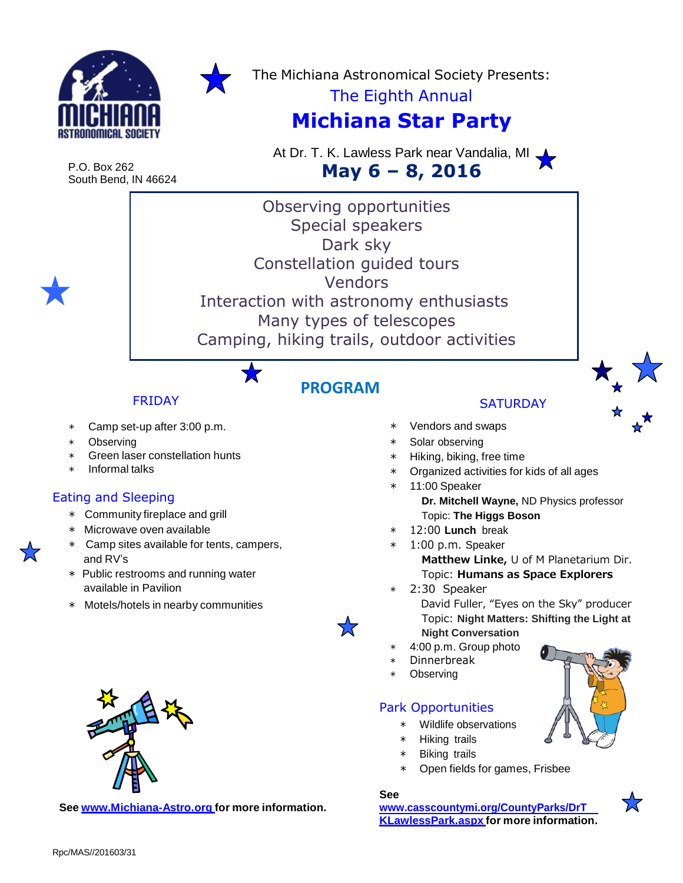



The Michiana Astronomical Society Presents:

# The Eighth Annual

# **Michiana Star Party**

P.O. Box 262 South Bend, IN 46624 At Dr. T. K. Lawless Park near Vandalia, MI **May 6 – 8, 2016**

Observing opportunities Special speakers Dark sky Constellation guided tours **Vendors**  Interaction with astronomy enthusiasts Many types of telescopes Camping, hiking trails, outdoor activities

**PROGRAM**

7.7

### FRIDAY

- Camp set-up after 3:00 p.m.
- ∗ Observing
- Green laser constellation hunts
- ∗ Informal talks

#### Eating and Sleeping

- ∗ Community fireplace and grill
- ∗ Microwave oven available
- ∗ Camp sites available for tents, campers, and RV's
- ∗ Public restrooms and running water available in Pavilion
- ∗ Motels/hotels in nearby communities



**See [www.Michiana-Astro.org](http://www.michiana-astro.org/) for more information.**

## **SATURDAY**

- ∗ Vendors and swaps
- ∗ Solar observing
- ∗ Hiking, biking, free time
- ∗ Organized activities for kids of all ages
- ∗ 11:00 Speaker **Dr. Mitchell Wayne,** ND Physics professor
	- Topic: **The Higgs Boson**
- ∗ 12:00 **Lunch** break
- 1:00 p.m. Speaker
	- **Matthew Linke,** U of M Planetarium Dir. Topic: **Humans as Space Explorers**
- ∗ 2:30 Speaker



- ∗ 4:00 p.m. Group photo
- ∗ Dinnerbreak
- Observing

#### Park Opportunities

- ∗ Wildlife observations
- ∗ Hiking trails
- **Biking trails**
- Open fields for games, Frisbee

#### **See**

**[www.casscountymi.org/CountyParks/DrT](http://www.casscountymi.org/CountyParks/DrT) KLawlessPark.aspx for more information.**